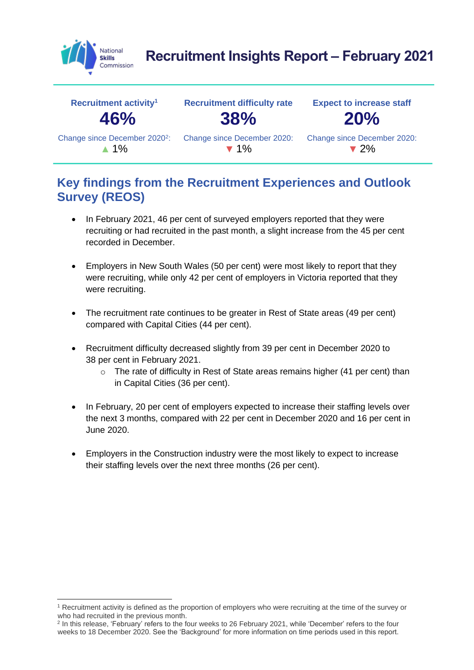

# **Recruitment Insights Report – February 2021**

| Recruitment activity <sup>1</sup>         | <b>Recruitment difficulty rate</b> | <b>Expect to increase staff</b> |
|-------------------------------------------|------------------------------------|---------------------------------|
| 46%                                       | 38%                                | 20%                             |
| Change since December 2020 <sup>2</sup> : | Change since December 2020:        | Change since December 2020:     |
| $\triangle$ 1%                            | $\blacktriangledown$ 1%            | $\blacktriangledown$ 2%         |

#### **Key findings from the Recruitment Experiences and Outlook Survey (REOS)**

- In February 2021, 46 per cent of surveyed employers reported that they were recruiting or had recruited in the past month, a slight increase from the 45 per cent recorded in December.
- Employers in New South Wales (50 per cent) were most likely to report that they were recruiting, while only 42 per cent of employers in Victoria reported that they were recruiting.
- The recruitment rate continues to be greater in Rest of State areas (49 per cent) compared with Capital Cities (44 per cent).
- Recruitment difficulty decreased slightly from 39 per cent in December 2020 to 38 per cent in February 2021.
	- o The rate of difficulty in Rest of State areas remains higher (41 per cent) than in Capital Cities (36 per cent).
- In February, 20 per cent of employers expected to increase their staffing levels over the next 3 months, compared with 22 per cent in December 2020 and 16 per cent in June 2020.
- Employers in the Construction industry were the most likely to expect to increase their staffing levels over the next three months (26 per cent).

<sup>1</sup> Recruitment activity is defined as the proportion of employers who were recruiting at the time of the survey or who had recruited in the previous month.

<sup>2</sup> In this release, 'February' refers to the four weeks to 26 February 2021, while 'December' refers to the four weeks to 18 December 2020. See the 'Background' for more information on time periods used in this report.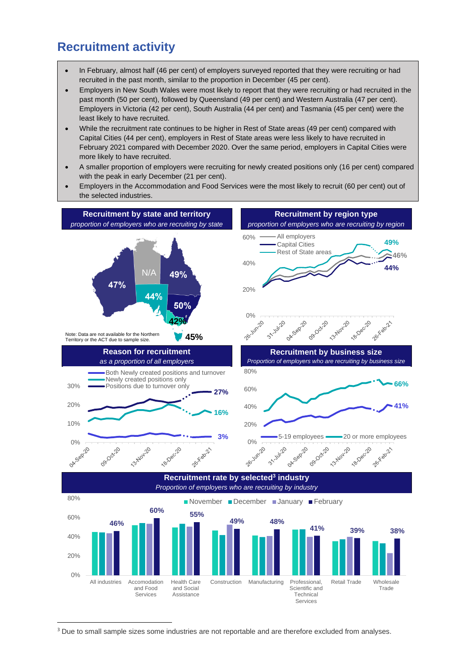#### **Recruitment activity**

- In February, almost half (46 per cent) of employers surveyed reported that they were recruiting or had recruited in the past month, similar to the proportion in December (45 per cent).
- Employers in New South Wales were most likely to report that they were recruiting or had recruited in the past month (50 per cent), followed by Queensland (49 per cent) and Western Australia (47 per cent). Employers in Victoria (42 per cent), South Australia (44 per cent) and Tasmania (45 per cent) were the least likely to have recruited.
- While the recruitment rate continues to be higher in Rest of State areas (49 per cent) compared with Capital Cities (44 per cent), employers in Rest of State areas were less likely to have recruited in February 2021 compared with December 2020. Over the same period, employers in Capital Cities were more likely to have recruited.
- A smaller proportion of employers were recruiting for newly created positions only (16 per cent) compared with the peak in early December (21 per cent).
- Employers in the Accommodation and Food Services were the most likely to recruit (60 per cent) out of the selected industries.



<sup>3</sup> Due to small sample sizes some industries are not reportable and are therefore excluded from analyses.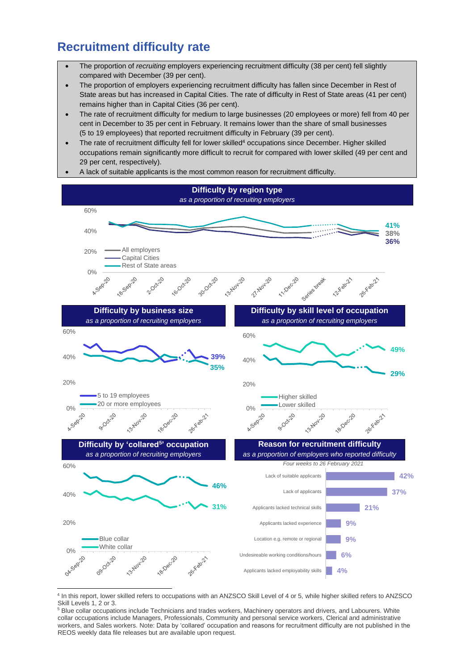# **Recruitment difficulty rate**

- The proportion of *recruiting* employers experiencing recruitment difficulty (38 per cent) fell slightly compared with December (39 per cent).
- The proportion of employers experiencing recruitment difficulty has fallen since December in Rest of State areas but has increased in Capital Cities. The rate of difficulty in Rest of State areas (41 per cent) remains higher than in Capital Cities (36 per cent).
- The rate of recruitment difficulty for medium to large businesses (20 employees or more) fell from 40 per cent in December to 35 per cent in February. It remains lower than the share of small businesses (5 to 19 employees) that reported recruitment difficulty in February (39 per cent).
- The rate of recruitment difficulty fell for lower skilled<sup>4</sup> occupations since December. Higher skilled occupations remain significantly more difficult to recruit for compared with lower skilled (49 per cent and 29 per cent, respectively).





<sup>4</sup> In this report, lower skilled refers to occupations with an ANZSCO Skill Level of 4 or 5, while higher skilled refers to ANZSCO Skill Levels 1, 2 or 3.

<sup>&</sup>lt;sup>5</sup> Blue collar occupations include Technicians and trades workers, Machinery operators and drivers, and Labourers. White collar occupations include Managers, Professionals, Community and personal service workers, Clerical and administrative workers, and Sales workers. Note: Data by 'collared' occupation and reasons for recruitment difficulty are not published in the REOS weekly data file releases but are available upon request.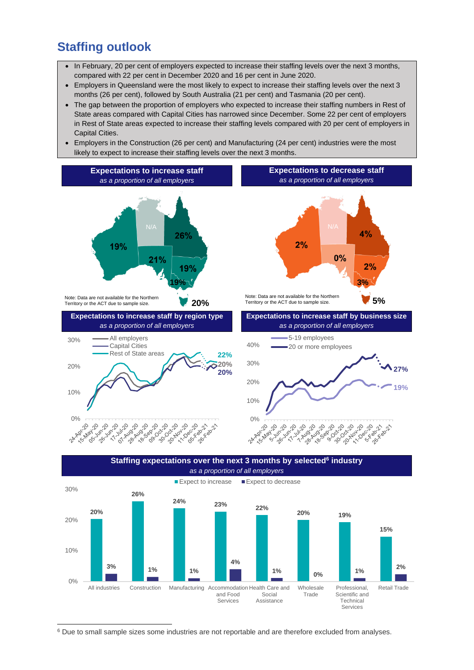### **Staffing outlook**

- In February, 20 per cent of employers expected to increase their staffing levels over the next 3 months, compared with 22 per cent in December 2020 and 16 per cent in June 2020.
- Employers in Queensland were the most likely to expect to increase their staffing levels over the next 3 months (26 per cent), followed by South Australia (21 per cent) and Tasmania (20 per cent).
- The gap between the proportion of employers who expected to increase their staffing numbers in Rest of State areas compared with Capital Cities has narrowed since December. Some 22 per cent of employers in Rest of State areas expected to increase their staffing levels compared with 20 per cent of employers in Capital Cities.
- Employers in the Construction (26 per cent) and Manufacturing (24 per cent) industries were the most likely to expect to increase their staffing levels over the next 3 months.





<sup>6</sup> Due to small sample sizes some industries are not reportable and are therefore excluded from analyses.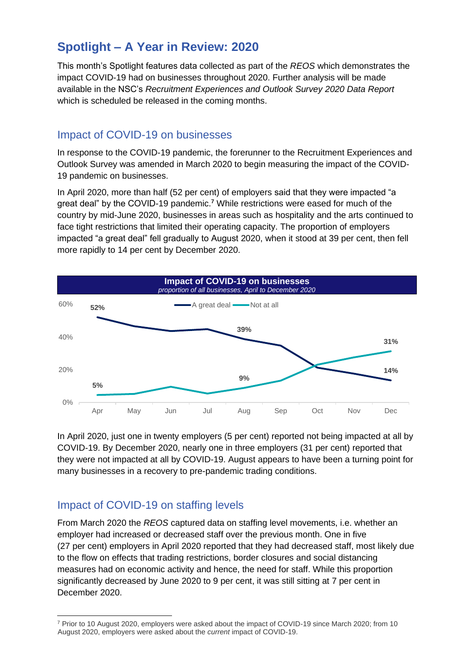### **Spotlight – A Year in Review: 2020**

This month's Spotlight features data collected as part of the *REOS* which demonstrates the impact COVID-19 had on businesses throughout 2020. Further analysis will be made available in the NSC's *Recruitment Experiences and Outlook Survey 2020 Data Report* which is scheduled be released in the coming months.

#### Impact of COVID-19 on businesses

In response to the COVID-19 pandemic, the forerunner to the Recruitment Experiences and Outlook Survey was amended in March 2020 to begin measuring the impact of the COVID-19 pandemic on businesses.

In April 2020, more than half (52 per cent) of employers said that they were impacted "a great deal" by the COVID-19 pandemic.**<sup>7</sup>** While restrictions were eased for much of the country by mid-June 2020, businesses in areas such as hospitality and the arts continued to face tight restrictions that limited their operating capacity. The proportion of employers impacted "a great deal" fell gradually to August 2020, when it stood at 39 per cent, then fell more rapidly to 14 per cent by December 2020.



In April 2020, just one in twenty employers (5 per cent) reported not being impacted at all by COVID-19. By December 2020, nearly one in three employers (31 per cent) reported that they were not impacted at all by COVID-19. August appears to have been a turning point for many businesses in a recovery to pre-pandemic trading conditions.

#### Impact of COVID-19 on staffing levels

From March 2020 the *REOS* captured data on staffing level movements, i.e. whether an employer had increased or decreased staff over the previous month. One in five (27 per cent) employers in April 2020 reported that they had decreased staff, most likely due to the flow on effects that trading restrictions, border closures and social distancing measures had on economic activity and hence, the need for staff. While this proportion significantly decreased by June 2020 to 9 per cent, it was still sitting at 7 per cent in December 2020.

<sup>7</sup> Prior to 10 August 2020, employers were asked about the impact of COVID-19 since March 2020; from 10 August 2020, employers were asked about the *current* impact of COVID-19.